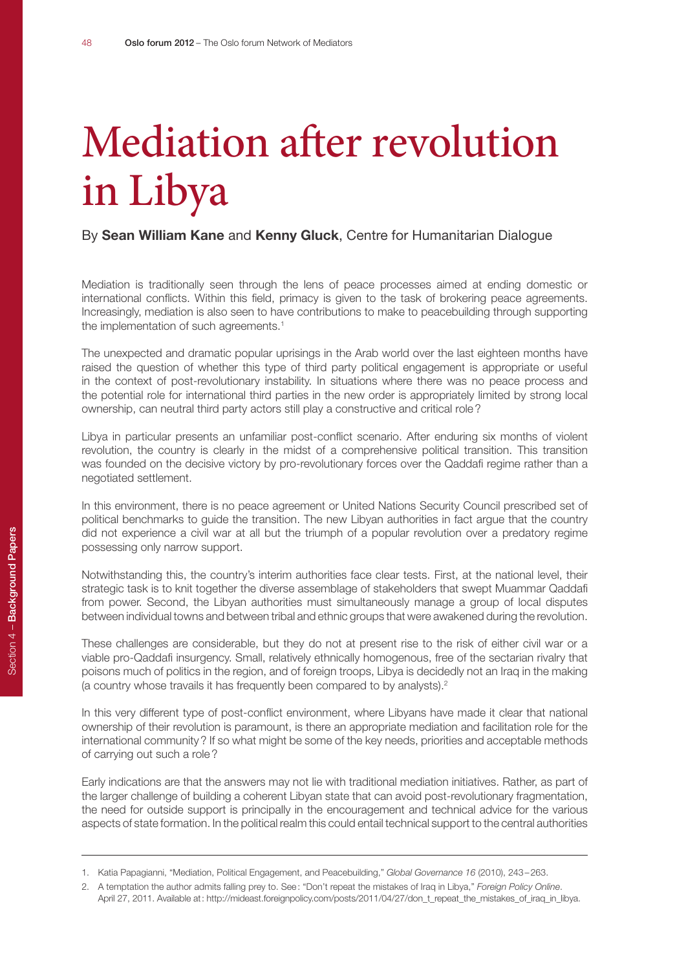# Mediation after revolution in Libya

#### By **Sean William Kane** and **Kenny Gluck**, Centre for Humanitarian Dialogue

Mediation is traditionally seen through the lens of peace processes aimed at ending domestic or international conflicts. Within this field, primacy is given to the task of brokering peace agreements. Increasingly, mediation is also seen to have contributions to make to peacebuilding through supporting the implementation of such agreements.<sup>1</sup>

The unexpected and dramatic popular uprisings in the Arab world over the last eighteen months have raised the question of whether this type of third party political engagement is appropriate or useful in the context of post-revolutionary instability. In situations where there was no peace process and the potential role for international third parties in the new order is appropriately limited by strong local ownership, can neutral third party actors still play a constructive and critical role?

Libya in particular presents an unfamiliar post-conflict scenario. After enduring six months of violent revolution, the country is clearly in the midst of a comprehensive political transition. This transition was founded on the decisive victory by pro-revolutionary forces over the Qaddafi regime rather than a negotiated settlement.

In this environment, there is no peace agreement or United Nations Security Council prescribed set of political benchmarks to guide the transition. The new Libyan authorities in fact argue that the country did not experience a civil war at all but the triumph of a popular revolution over a predatory regime possessing only narrow support.

Notwithstanding this, the country's interim authorities face clear tests. First, at the national level, their strategic task is to knit together the diverse assemblage of stakeholders that swept Muammar Qaddafi from power. Second, the Libyan authorities must simultaneously manage a group of local disputes between individual towns and between tribal and ethnic groups that were awakened during the revolution.

These challenges are considerable, but they do not at present rise to the risk of either civil war or a viable pro-Qaddafi insurgency. Small, relatively ethnically homogenous, free of the sectarian rivalry that poisons much of politics in the region, and of foreign troops, Libya is decidedly not an Iraq in the making (a country whose travails it has frequently been compared to by analysts).2

In this very different type of post-conflict environment, where Libyans have made it clear that national ownership of their revolution is paramount, is there an appropriate mediation and facilitation role for the international community? If so what might be some of the key needs, priorities and acceptable methods of carrying out such a role?

Early indications are that the answers may not lie with traditional mediation initiatives. Rather, as part of the larger challenge of building a coherent Libyan state that can avoid post-revolutionary fragmentation, the need for outside support is principally in the encouragement and technical advice for the various aspects of state formation. In the political realm this could entail technical support to the central authorities

<sup>1.</sup> Katia Papagianni, "Mediation, Political Engagement, and Peacebuilding," *Global Governance 16* (2010), 243–263.

<sup>2.</sup> A temptation the author admits falling prey to. See: "Don't repeat the mistakes of Iraq in Libya," *Foreign Policy Online*. April 27, 2011. Available at: http://mideast.foreignpolicy.com/posts/2011/04/27/don\_t\_repeat\_the\_mistakes\_of\_iraq\_in\_libya.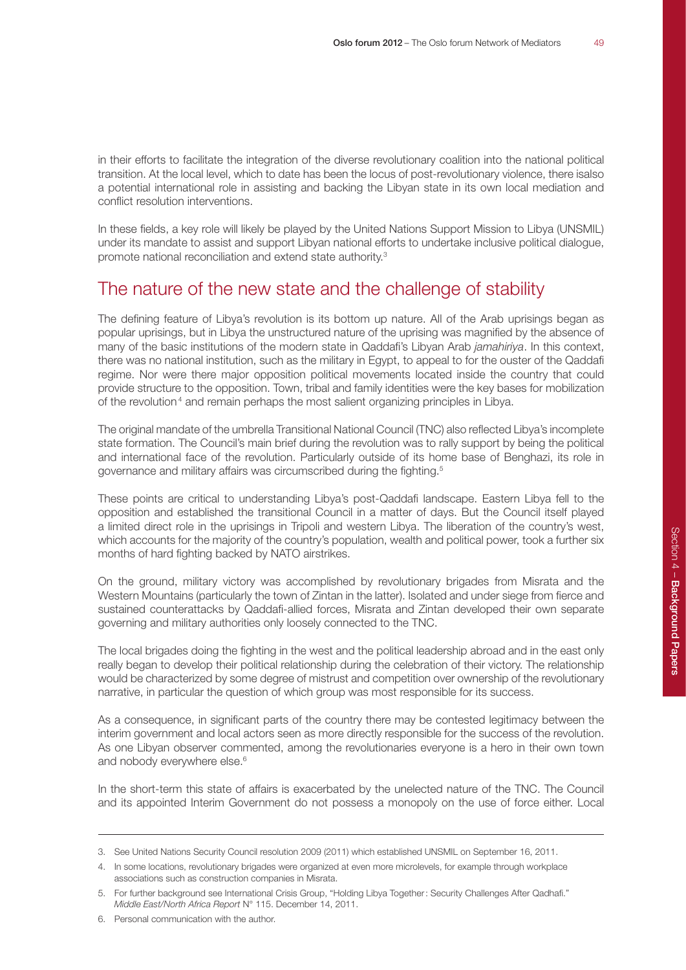in their efforts to facilitate the integration of the diverse revolutionary coalition into the national political transition. At the local level, which to date has been the locus of post-revolutionary violence, there isalso a potential international role in assisting and backing the Libyan state in its own local mediation and conflict resolution interventions.

In these fields, a key role will likely be played by the United Nations Support Mission to Libya (UNSMIL) under its mandate to assist and support Libyan national efforts to undertake inclusive political dialogue, promote national reconciliation and extend state authority.3

# The nature of the new state and the challenge of stability

The defining feature of Libya's revolution is its bottom up nature. All of the Arab uprisings began as popular uprisings, but in Libya the unstructured nature of the uprising was magnified by the absence of many of the basic institutions of the modern state in Qaddafi's Libyan Arab *jamahiriya*. In this context, there was no national institution, such as the military in Egypt, to appeal to for the ouster of the Qaddafi regime. Nor were there major opposition political movements located inside the country that could provide structure to the opposition. Town, tribal and family identities were the key bases for mobilization of the revolution<sup>4</sup> and remain perhaps the most salient organizing principles in Libya.

The original mandate of the umbrella Transitional National Council (TNC) also reflected Libya's incomplete state formation. The Council's main brief during the revolution was to rally support by being the political and international face of the revolution. Particularly outside of its home base of Benghazi, its role in governance and military affairs was circumscribed during the fighting.<sup>5</sup>

These points are critical to understanding Libya's post-Qaddafi landscape. Eastern Libya fell to the opposition and established the transitional Council in a matter of days. But the Council itself played a limited direct role in the uprisings in Tripoli and western Libya. The liberation of the country's west, which accounts for the majority of the country's population, wealth and political power, took a further six months of hard fighting backed by NATO airstrikes.

On the ground, military victory was accomplished by revolutionary brigades from Misrata and the Western Mountains (particularly the town of Zintan in the latter). Isolated and under siege from fierce and sustained counterattacks by Qaddafi-allied forces, Misrata and Zintan developed their own separate governing and military authorities only loosely connected to the TNC.

The local brigades doing the fighting in the west and the political leadership abroad and in the east only really began to develop their political relationship during the celebration of their victory. The relationship would be characterized by some degree of mistrust and competition over ownership of the revolutionary narrative, in particular the question of which group was most responsible for its success.

As a consequence, in significant parts of the country there may be contested legitimacy between the interim government and local actors seen as more directly responsible for the success of the revolution. As one Libyan observer commented, among the revolutionaries everyone is a hero in their own town and nobody everywhere else.<sup>6</sup>

In the short-term this state of affairs is exacerbated by the unelected nature of the TNC. The Council and its appointed Interim Government do not possess a monopoly on the use of force either. Local

<sup>3.</sup> See United Nations Security Council resolution 2009 (2011) which established UNSMIL on September 16, 2011.

<sup>4.</sup> In some locations, revolutionary brigades were organized at even more microlevels, for example through workplace associations such as construction companies in Misrata.

<sup>5.</sup> For further background see International Crisis Group, "Holding Libya Together: Security Challenges After Qadhafi." *Middle East/North Africa Report* N° 115. December 14, 2011.

<sup>6.</sup> Personal communication with the author.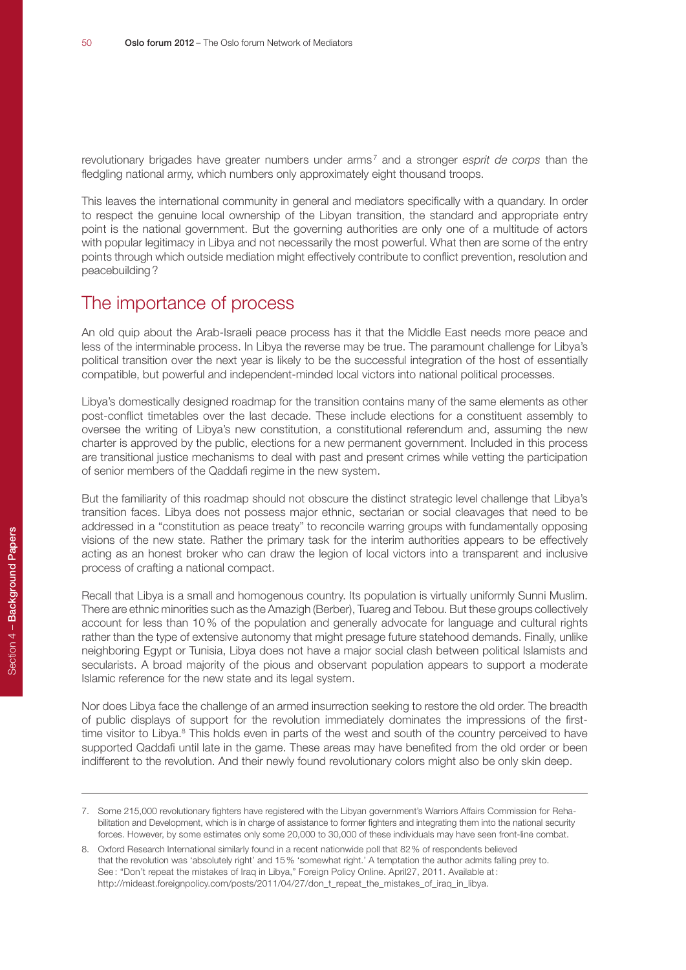revolutionary brigades have greater numbers under arms<sup>7</sup> and a stronger *esprit de corps* than the fledgling national army, which numbers only approximately eight thousand troops.

This leaves the international community in general and mediators specifically with a quandary. In order to respect the genuine local ownership of the Libyan transition, the standard and appropriate entry point is the national government. But the governing authorities are only one of a multitude of actors with popular legitimacy in Libya and not necessarily the most powerful. What then are some of the entry points through which outside mediation might effectively contribute to conflict prevention, resolution and peacebuilding?

### The importance of process

An old quip about the Arab-Israeli peace process has it that the Middle East needs more peace and less of the interminable process. In Libya the reverse may be true. The paramount challenge for Libya's political transition over the next year is likely to be the successful integration of the host of essentially compatible, but powerful and independent-minded local victors into national political processes.

Libya's domestically designed roadmap for the transition contains many of the same elements as other post-conflict timetables over the last decade. These include elections for a constituent assembly to oversee the writing of Libya's new constitution, a constitutional referendum and, assuming the new charter is approved by the public, elections for a new permanent government. Included in this process are transitional justice mechanisms to deal with past and present crimes while vetting the participation of senior members of the Qaddafi regime in the new system.

But the familiarity of this roadmap should not obscure the distinct strategic level challenge that Libya's transition faces. Libya does not possess major ethnic, sectarian or social cleavages that need to be addressed in a "constitution as peace treaty" to reconcile warring groups with fundamentally opposing visions of the new state. Rather the primary task for the interim authorities appears to be effectively acting as an honest broker who can draw the legion of local victors into a transparent and inclusive process of crafting a national compact.

Recall that Libya is a small and homogenous country. Its population is virtually uniformly Sunni Muslim. There are ethnic minorities such as the Amazigh (Berber), Tuareg and Tebou. But these groups collectively account for less than 10% of the population and generally advocate for language and cultural rights rather than the type of extensive autonomy that might presage future statehood demands. Finally, unlike neighboring Egypt or Tunisia, Libya does not have a major social clash between political Islamists and secularists. A broad majority of the pious and observant population appears to support a moderate Islamic reference for the new state and its legal system.

Nor does Libya face the challenge of an armed insurrection seeking to restore the old order. The breadth of public displays of support for the revolution immediately dominates the impressions of the firsttime visitor to Libya.<sup>8</sup> This holds even in parts of the west and south of the country perceived to have supported Qaddafi until late in the game. These areas may have benefited from the old order or been indifferent to the revolution. And their newly found revolutionary colors might also be only skin deep.

<sup>7.</sup> Some 215,000 revolutionary fighters have registered with the Libyan government's Warriors Affairs Commission for Rehabilitation and Development, which is in charge of assistance to former fighters and integrating them into the national security forces. However, by some estimates only some 20,000 to 30,000 of these individuals may have seen front-line combat.

<sup>8.</sup> Oxford Research International similarly found in a recent nationwide poll that 82% of respondents believed that the revolution was 'absolutely right' and 15% 'somewhat right.' A temptation the author admits falling prey to. See: "Don't repeat the mistakes of Iraq in Libya," Foreign Policy Online. April27, 2011. Available at: http://mideast.foreignpolicy.com/posts/2011/04/27/don\_t\_repeat\_the\_mistakes\_of\_iraq\_in\_libya.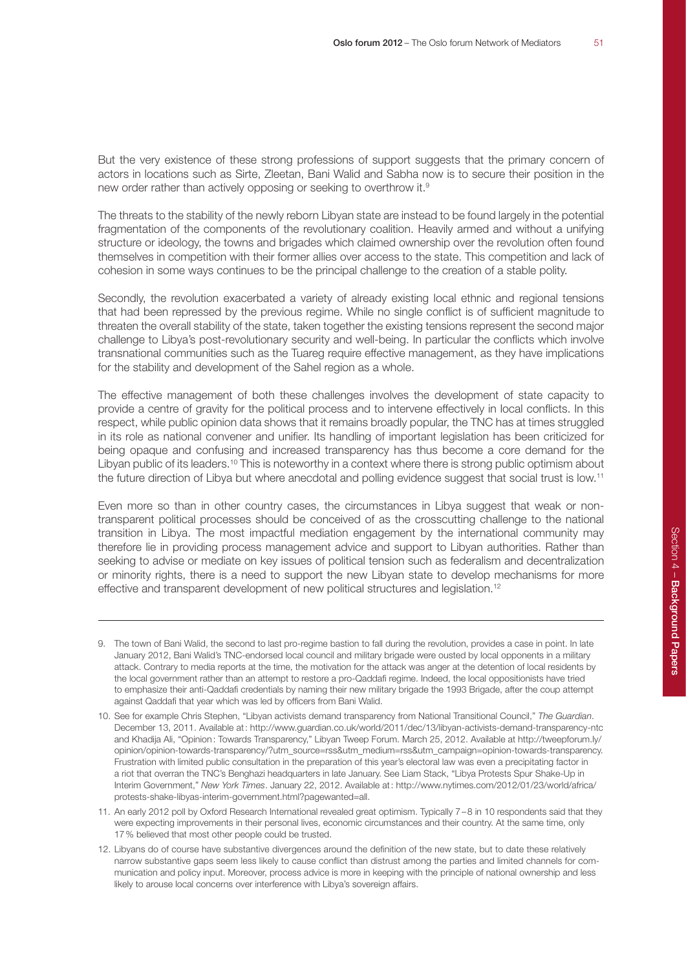But the very existence of these strong professions of support suggests that the primary concern of actors in locations such as Sirte, Zleetan, Bani Walid and Sabha now is to secure their position in the new order rather than actively opposing or seeking to overthrow it.<sup>9</sup>

The threats to the stability of the newly reborn Libyan state are instead to be found largely in the potential fragmentation of the components of the revolutionary coalition. Heavily armed and without a unifying structure or ideology, the towns and brigades which claimed ownership over the revolution often found themselves in competition with their former allies over access to the state. This competition and lack of cohesion in some ways continues to be the principal challenge to the creation of a stable polity.

Secondly, the revolution exacerbated a variety of already existing local ethnic and regional tensions that had been repressed by the previous regime. While no single conflict is of sufficient magnitude to threaten the overall stability of the state, taken together the existing tensions represent the second major challenge to Libya's post-revolutionary security and well-being. In particular the conflicts which involve transnational communities such as the Tuareg require effective management, as they have implications for the stability and development of the Sahel region as a whole.

The effective management of both these challenges involves the development of state capacity to provide a centre of gravity for the political process and to intervene effectively in local conflicts. In this respect, while public opinion data shows that it remains broadly popular, the TNC has at times struggled in its role as national convener and unifier. Its handling of important legislation has been criticized for being opaque and confusing and increased transparency has thus become a core demand for the Libyan public of its leaders.<sup>10</sup> This is noteworthy in a context where there is strong public optimism about the future direction of Libya but where anecdotal and polling evidence suggest that social trust is low.11

Even more so than in other country cases, the circumstances in Libya suggest that weak or nontransparent political processes should be conceived of as the crosscutting challenge to the national transition in Libya. The most impactful mediation engagement by the international community may therefore lie in providing process management advice and support to Libyan authorities. Rather than seeking to advise or mediate on key issues of political tension such as federalism and decentralization or minority rights, there is a need to support the new Libyan state to develop mechanisms for more effective and transparent development of new political structures and legislation.12

<sup>9.</sup> The town of Bani Walid, the second to last pro-regime bastion to fall during the revolution, provides a case in point. In late January 2012, Bani Walid's TNC-endorsed local council and military brigade were ousted by local opponents in a military attack. Contrary to media reports at the time, the motivation for the attack was anger at the detention of local residents by the local government rather than an attempt to restore a pro-Qaddafi regime. Indeed, the local oppositionists have tried to emphasize their anti-Qaddafi credentials by naming their new military brigade the 1993 Brigade, after the coup attempt against Qaddafi that year which was led by officers from Bani Walid.

<sup>10.</sup> See for example Chris Stephen, "Libyan activists demand transparency from National Transitional Council," *The Guardian*. December 13, 2011. Available at: http://www.guardian.co.uk/world/2011/dec/13/libyan-activists-demand-transparency-ntc and Khadija Ali, "Opinion: Towards Transparency," Libyan Tweep Forum. March 25, 2012. Available at http://tweepforum.ly/ opinion/opinion-towards-transparency/?utm\_source=rss&utm\_medium=rss&utm\_campaign=opinion-towards-transparency. Frustration with limited public consultation in the preparation of this year's electoral law was even a precipitating factor in a riot that overran the TNC's Benghazi headquarters in late January. See Liam Stack, "Libya Protests Spur Shake-Up in Interim Government," *New York Times*. January 22, 2012. Available at: http://www.nytimes.com/2012/01/23/world/africa/ protests-shake-libyas-interim-government.html?pagewanted=all.

<sup>11.</sup> An early 2012 poll by Oxford Research International revealed great optimism. Typically 7–8 in 10 respondents said that they were expecting improvements in their personal lives, economic circumstances and their country. At the same time, only 17% believed that most other people could be trusted.

<sup>12.</sup> Libyans do of course have substantive divergences around the definition of the new state, but to date these relatively narrow substantive gaps seem less likely to cause conflict than distrust among the parties and limited channels for communication and policy input. Moreover, process advice is more in keeping with the principle of national ownership and less likely to arouse local concerns over interference with Libya's sovereign affairs.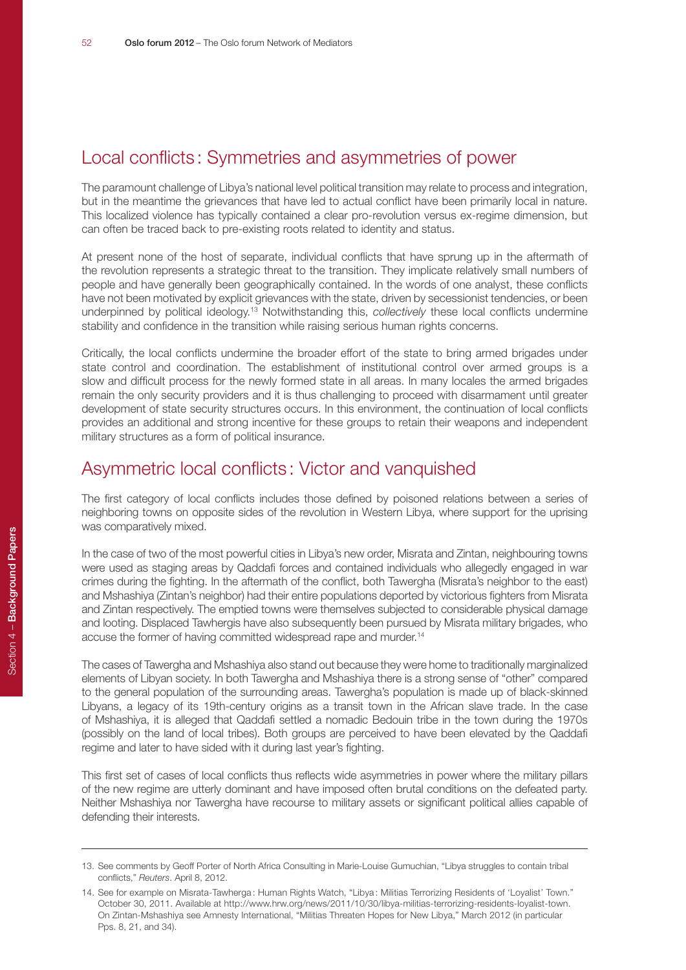### Local conflicts : Symmetries and asymmetries of power

The paramount challenge of Libya's national level political transition may relate to process and integration, but in the meantime the grievances that have led to actual conflict have been primarily local in nature. This localized violence has typically contained a clear pro-revolution versus ex-regime dimension, but can often be traced back to pre-existing roots related to identity and status.

At present none of the host of separate, individual conflicts that have sprung up in the aftermath of the revolution represents a strategic threat to the transition. They implicate relatively small numbers of people and have generally been geographically contained. In the words of one analyst, these conflicts have not been motivated by explicit grievances with the state, driven by secessionist tendencies, or been underpinned by political ideology.13 Notwithstanding this, *collectively* these local conflicts undermine stability and confidence in the transition while raising serious human rights concerns.

Critically, the local conflicts undermine the broader effort of the state to bring armed brigades under state control and coordination. The establishment of institutional control over armed groups is a slow and difficult process for the newly formed state in all areas. In many locales the armed brigades remain the only security providers and it is thus challenging to proceed with disarmament until greater development of state security structures occurs. In this environment, the continuation of local conflicts provides an additional and strong incentive for these groups to retain their weapons and independent military structures as a form of political insurance.

#### Asymmetric local conflicts : Victor and vanquished

The first category of local conflicts includes those defined by poisoned relations between a series of neighboring towns on opposite sides of the revolution in Western Libya, where support for the uprising was comparatively mixed.

In the case of two of the most powerful cities in Libya's new order, Misrata and Zintan, neighbouring towns were used as staging areas by Qaddafi forces and contained individuals who allegedly engaged in war crimes during the fighting. In the aftermath of the conflict, both Tawergha (Misrata's neighbor to the east) and Mshashiya (Zintan's neighbor) had their entire populations deported by victorious fighters from Misrata and Zintan respectively. The emptied towns were themselves subjected to considerable physical damage and looting. Displaced Tawhergis have also subsequently been pursued by Misrata military brigades, who accuse the former of having committed widespread rape and murder.<sup>14</sup>

The cases of Tawergha and Mshashiya also stand out because they were home to traditionally marginalized elements of Libyan society. In both Tawergha and Mshashiya there is a strong sense of "other" compared to the general population of the surrounding areas. Tawergha's population is made up of black-skinned Libyans, a legacy of its 19th-century origins as a transit town in the African slave trade. In the case of Mshashiya, it is alleged that Qaddafi settled a nomadic Bedouin tribe in the town during the 1970s (possibly on the land of local tribes). Both groups are perceived to have been elevated by the Qaddafi regime and later to have sided with it during last year's fighting.

This first set of cases of local conflicts thus reflects wide asymmetries in power where the military pillars of the new regime are utterly dominant and have imposed often brutal conditions on the defeated party. Neither Mshashiya nor Tawergha have recourse to military assets or significant political allies capable of defending their interests.

<sup>13.</sup> See comments by Geoff Porter of North Africa Consulting in Marie-Louise Gumuchian, "Libya struggles to contain tribal conflicts," *Reuters*. April 8, 2012.

<sup>14.</sup> See for example on Misrata-Tawherga : Human Rights Watch, "Libya : Militias Terrorizing Residents of 'Loyalist' Town." October 30, 2011. Available at http://www.hrw.org/news/2011/10/30/libya-militias-terrorizing-residents-loyalist-town. On Zintan-Mshashiya see Amnesty International, "Militias Threaten Hopes for New Libya," March 2012 (in particular Pps. 8, 21, and 34).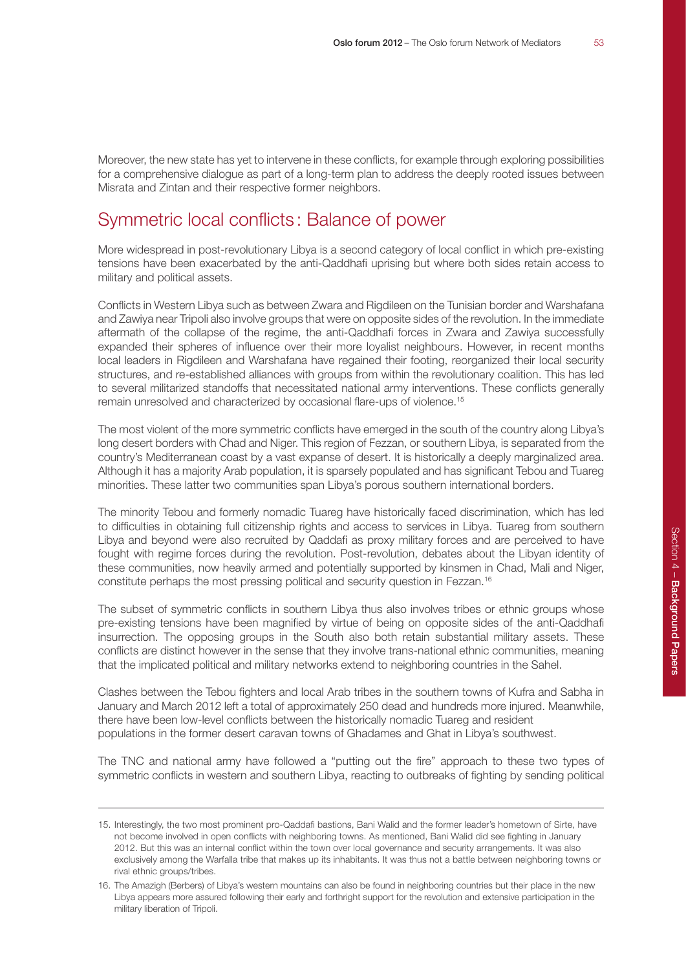Moreover, the new state has yet to intervene in these conflicts, for example through exploring possibilities for a comprehensive dialogue as part of a long-term plan to address the deeply rooted issues between Misrata and Zintan and their respective former neighbors.

## Symmetric local conflicts : Balance of power

More widespread in post-revolutionary Libya is a second category of local conflict in which pre-existing tensions have been exacerbated by the anti-Qaddhafi uprising but where both sides retain access to military and political assets.

Conflicts in Western Libya such as between Zwara and Rigdileen on the Tunisian border and Warshafana and Zawiya near Tripoli also involve groups that were on opposite sides of the revolution. In the immediate aftermath of the collapse of the regime, the anti-Qaddhafi forces in Zwara and Zawiya successfully expanded their spheres of influence over their more loyalist neighbours. However, in recent months local leaders in Rigdileen and Warshafana have regained their footing, reorganized their local security structures, and re-established alliances with groups from within the revolutionary coalition. This has led to several militarized standoffs that necessitated national army interventions. These conflicts generally remain unresolved and characterized by occasional flare-ups of violence.15

The most violent of the more symmetric conflicts have emerged in the south of the country along Libya's long desert borders with Chad and Niger. This region of Fezzan, or southern Libya, is separated from the country's Mediterranean coast by a vast expanse of desert. It is historically a deeply marginalized area. Although it has a majority Arab population, it is sparsely populated and has significant Tebou and Tuareg minorities. These latter two communities span Libya's porous southern international borders.

The minority Tebou and formerly nomadic Tuareg have historically faced discrimination, which has led to difficulties in obtaining full citizenship rights and access to services in Libya. Tuareg from southern Libya and beyond were also recruited by Qaddafi as proxy military forces and are perceived to have fought with regime forces during the revolution. Post-revolution, debates about the Libyan identity of these communities, now heavily armed and potentially supported by kinsmen in Chad, Mali and Niger, constitute perhaps the most pressing political and security question in Fezzan.16

The subset of symmetric conflicts in southern Libya thus also involves tribes or ethnic groups whose pre-existing tensions have been magnified by virtue of being on opposite sides of the anti-Qaddhafi insurrection. The opposing groups in the South also both retain substantial military assets. These conflicts are distinct however in the sense that they involve trans-national ethnic communities, meaning that the implicated political and military networks extend to neighboring countries in the Sahel.

Clashes between the Tebou fighters and local Arab tribes in the southern towns of Kufra and Sabha in January and March 2012 left a total of approximately 250 dead and hundreds more injured. Meanwhile, there have been low-level conflicts between the historically nomadic Tuareg and resident populations in the former desert caravan towns of Ghadames and Ghat in Libya's southwest.

The TNC and national army have followed a "putting out the fire" approach to these two types of symmetric conflicts in western and southern Libya, reacting to outbreaks of fighting by sending political

<sup>15.</sup> Interestingly, the two most prominent pro-Qaddafi bastions, Bani Walid and the former leader's hometown of Sirte, have not become involved in open conflicts with neighboring towns. As mentioned, Bani Walid did see fighting in January 2012. But this was an internal conflict within the town over local governance and security arrangements. It was also exclusively among the Warfalla tribe that makes up its inhabitants. It was thus not a battle between neighboring towns or rival ethnic groups/tribes.

<sup>16.</sup> The Amazigh (Berbers) of Libya's western mountains can also be found in neighboring countries but their place in the new Libya appears more assured following their early and forthright support for the revolution and extensive participation in the military liberation of Tripoli.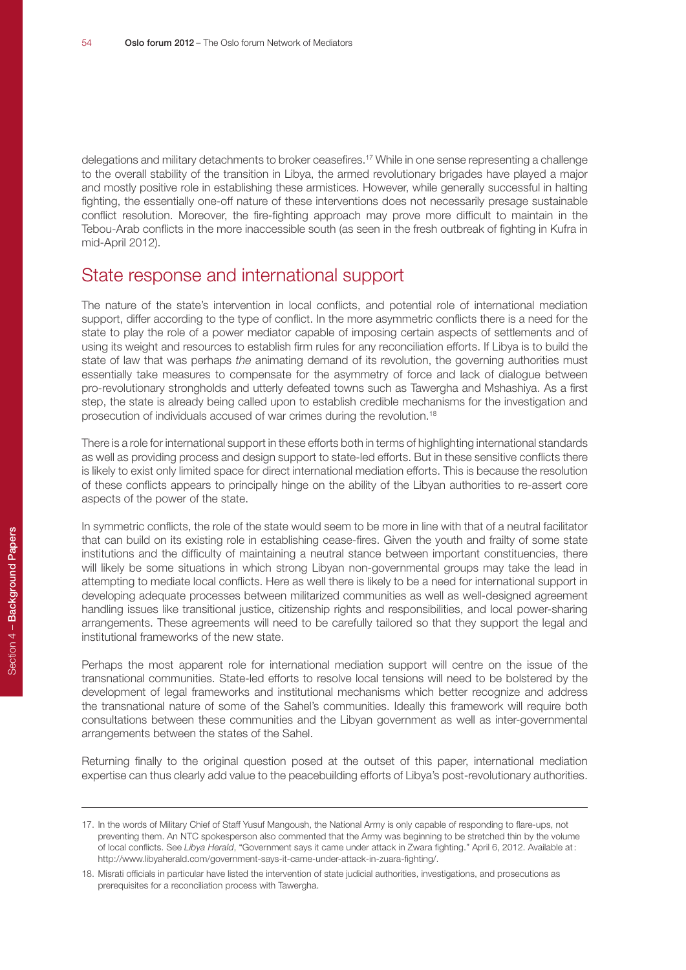delegations and military detachments to broker ceasefires.17 While in one sense representing a challenge to the overall stability of the transition in Libya, the armed revolutionary brigades have played a major and mostly positive role in establishing these armistices. However, while generally successful in halting fighting, the essentially one-off nature of these interventions does not necessarily presage sustainable conflict resolution. Moreover, the fire-fighting approach may prove more difficult to maintain in the Tebou-Arab conflicts in the more inaccessible south (as seen in the fresh outbreak of fighting in Kufra in mid-April 2012).

#### State response and international support

The nature of the state's intervention in local conflicts, and potential role of international mediation support, differ according to the type of conflict. In the more asymmetric conflicts there is a need for the state to play the role of a power mediator capable of imposing certain aspects of settlements and of using its weight and resources to establish firm rules for any reconciliation efforts. If Libya is to build the state of law that was perhaps *the* animating demand of its revolution, the governing authorities must essentially take measures to compensate for the asymmetry of force and lack of dialogue between pro-revolutionary strongholds and utterly defeated towns such as Tawergha and Mshashiya. As a first step, the state is already being called upon to establish credible mechanisms for the investigation and prosecution of individuals accused of war crimes during the revolution.18

There is a role for international support in these efforts both in terms of highlighting international standards as well as providing process and design support to state-led efforts. But in these sensitive conflicts there is likely to exist only limited space for direct international mediation efforts. This is because the resolution of these conflicts appears to principally hinge on the ability of the Libyan authorities to re-assert core aspects of the power of the state.

In symmetric conflicts, the role of the state would seem to be more in line with that of a neutral facilitator that can build on its existing role in establishing cease-fires. Given the youth and frailty of some state institutions and the difficulty of maintaining a neutral stance between important constituencies, there will likely be some situations in which strong Libyan non-governmental groups may take the lead in attempting to mediate local conflicts. Here as well there is likely to be a need for international support in developing adequate processes between militarized communities as well as well-designed agreement handling issues like transitional justice, citizenship rights and responsibilities, and local power-sharing arrangements. These agreements will need to be carefully tailored so that they support the legal and institutional frameworks of the new state.

Perhaps the most apparent role for international mediation support will centre on the issue of the transnational communities. State-led efforts to resolve local tensions will need to be bolstered by the development of legal frameworks and institutional mechanisms which better recognize and address the transnational nature of some of the Sahel's communities. Ideally this framework will require both consultations between these communities and the Libyan government as well as inter-governmental arrangements between the states of the Sahel.

Returning finally to the original question posed at the outset of this paper, international mediation expertise can thus clearly add value to the peacebuilding efforts of Libya's post-revolutionary authorities.

<sup>17.</sup> In the words of Military Chief of Staff Yusuf Mangoush, the National Army is only capable of responding to flare-ups, not preventing them. An NTC spokesperson also commented that the Army was beginning to be stretched thin by the volume of local conflicts. See *Libya Herald*, "Government says it came under attack in Zwara fighting." April 6, 2012. Available at: http://www.libyaherald.com/government-says-it-came-under-attack-in-zuara-fighting/.

<sup>18.</sup> Misrati officials in particular have listed the intervention of state judicial authorities, investigations, and prosecutions as prerequisites for a reconciliation process with Tawergha.